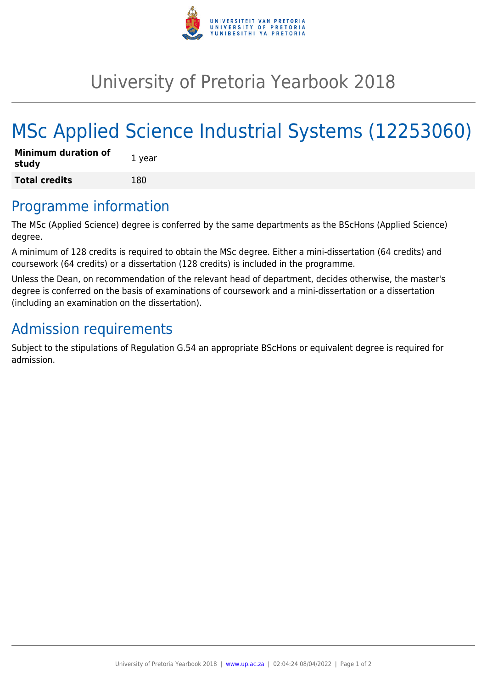

## University of Pretoria Yearbook 2018

# MSc Applied Science Industrial Systems (12253060)

| <b>Minimum duration of</b><br>study | 1 year |
|-------------------------------------|--------|
| <b>Total credits</b>                | 180    |

#### Programme information

The MSc (Applied Science) degree is conferred by the same departments as the BScHons (Applied Science) degree.

A minimum of 128 credits is required to obtain the MSc degree. Either a mini-dissertation (64 credits) and coursework (64 credits) or a dissertation (128 credits) is included in the programme.

Unless the Dean, on recommendation of the relevant head of department, decides otherwise, the master's degree is conferred on the basis of examinations of coursework and a mini-dissertation or a dissertation (including an examination on the dissertation).

### Admission requirements

Subject to the stipulations of Regulation G.54 an appropriate BScHons or equivalent degree is required for admission.